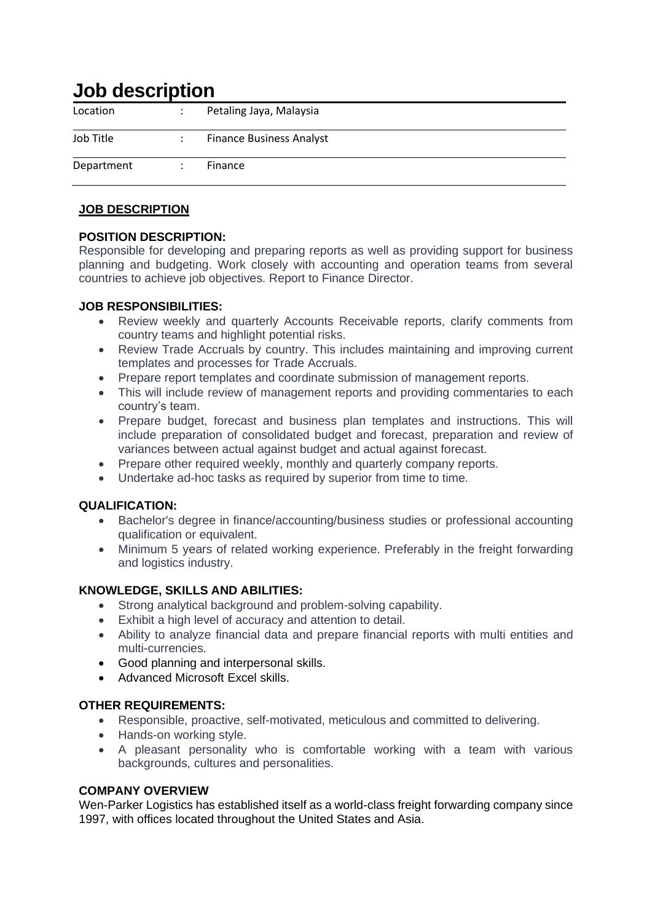# **Job description**

| Location   | $\bullet$ | Petaling Jaya, Malaysia         |
|------------|-----------|---------------------------------|
| Job Title  |           | <b>Finance Business Analyst</b> |
| Department |           | Finance                         |

# **JOB DESCRIPTION**

# **POSITION DESCRIPTION:**

Responsible for developing and preparing reports as well as providing support for business planning and budgeting. Work closely with accounting and operation teams from several countries to achieve job objectives. Report to Finance Director.

#### **JOB RESPONSIBILITIES:**

- Review weekly and quarterly Accounts Receivable reports, clarify comments from country teams and highlight potential risks.
- Review Trade Accruals by country. This includes maintaining and improving current templates and processes for Trade Accruals.
- Prepare report templates and coordinate submission of management reports.
- This will include review of management reports and providing commentaries to each country's team.
- Prepare budget, forecast and business plan templates and instructions. This will include preparation of consolidated budget and forecast, preparation and review of variances between actual against budget and actual against forecast.
- Prepare other required weekly, monthly and quarterly company reports.
- Undertake ad-hoc tasks as required by superior from time to time.

### **QUALIFICATION:**

- Bachelor's degree in finance/accounting/business studies or professional accounting qualification or equivalent.
- Minimum 5 years of related working experience. Preferably in the freight forwarding and logistics industry.

### **KNOWLEDGE, SKILLS AND ABILITIES:**

- Strong analytical background and problem-solving capability.
- Exhibit a high level of accuracy and attention to detail.
- Ability to analyze financial data and prepare financial reports with multi entities and multi-currencies.
- Good planning and interpersonal skills.
- Advanced Microsoft Excel skills.

### **OTHER REQUIREMENTS:**

- Responsible, proactive, self-motivated, meticulous and committed to delivering.
- Hands-on working style.
- A pleasant personality who is comfortable working with a team with various backgrounds, cultures and personalities.

### **COMPANY OVERVIEW**

Wen-Parker Logistics has established itself as a world-class freight forwarding company since 1997, with offices located throughout the United States and Asia.